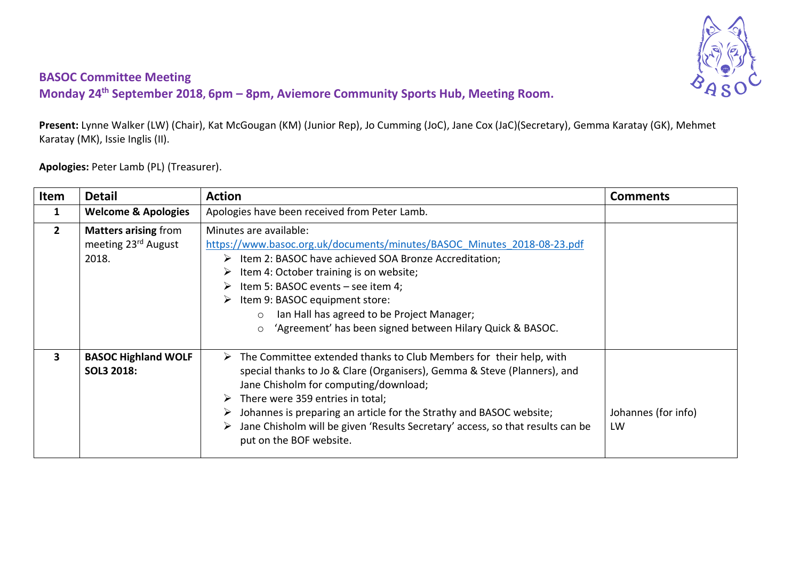

## **BASOC Committee Meeting**

**Monday 24th September 2018, 6pm – 8pm, Aviemore Community Sports Hub, Meeting Room.**

**Present:** Lynne Walker (LW) (Chair), Kat McGougan (KM) (Junior Rep), Jo Cumming (JoC), Jane Cox (JaC)(Secretary), Gemma Karatay (GK), Mehmet Karatay (MK), Issie Inglis (II).

**Apologies:** Peter Lamb (PL) (Treasurer).

| <b>Item</b>             | <b>Detail</b>                                               | <b>Action</b>                                                                                                                                                                                                                                                                                                                                                                                                                                                                      | <b>Comments</b>           |
|-------------------------|-------------------------------------------------------------|------------------------------------------------------------------------------------------------------------------------------------------------------------------------------------------------------------------------------------------------------------------------------------------------------------------------------------------------------------------------------------------------------------------------------------------------------------------------------------|---------------------------|
| 1                       | <b>Welcome &amp; Apologies</b>                              | Apologies have been received from Peter Lamb.                                                                                                                                                                                                                                                                                                                                                                                                                                      |                           |
| 2 <sup>1</sup>          | <b>Matters arising from</b><br>meeting 23rd August<br>2018. | Minutes are available:<br>https://www.basoc.org.uk/documents/minutes/BASOC Minutes 2018-08-23.pdf<br>$\triangleright$ Item 2: BASOC have achieved SOA Bronze Accreditation;<br>$\triangleright$ Item 4: October training is on website;<br>$\triangleright$ Item 5: BASOC events – see item 4;<br>$\triangleright$ Item 9: BASOC equipment store:<br>Ian Hall has agreed to be Project Manager;<br>$\circ$<br>'Agreement' has been signed between Hilary Quick & BASOC.<br>$\circ$ |                           |
| $\overline{\mathbf{3}}$ | <b>BASOC Highland WOLF</b><br>SOL3 2018:                    | $\triangleright$ The Committee extended thanks to Club Members for their help, with<br>special thanks to Jo & Clare (Organisers), Gemma & Steve (Planners), and<br>Jane Chisholm for computing/download;<br>There were 359 entries in total;<br>Johannes is preparing an article for the Strathy and BASOC website;<br>Jane Chisholm will be given 'Results Secretary' access, so that results can be<br>put on the BOF website.                                                   | Johannes (for info)<br>LW |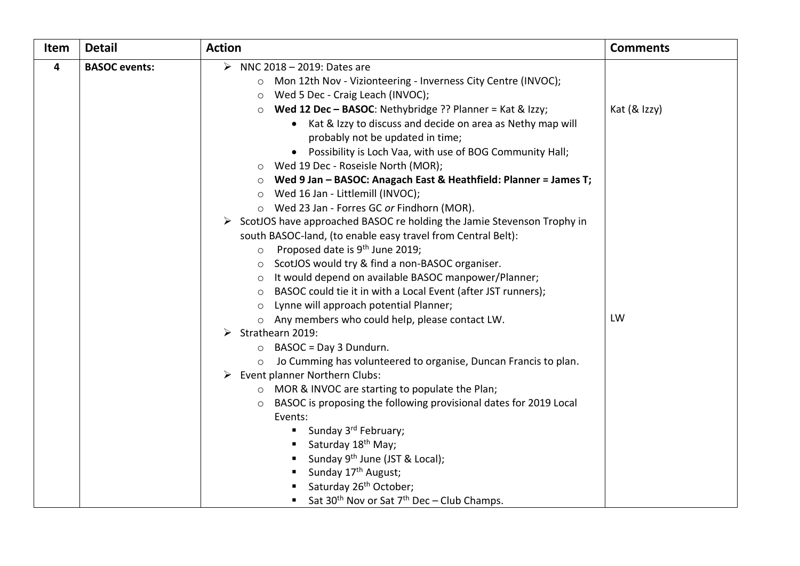| Item | <b>Detail</b>        | <b>Action</b>                                                                | <b>Comments</b> |
|------|----------------------|------------------------------------------------------------------------------|-----------------|
| 4    | <b>BASOC</b> events: | $\blacktriangleright$<br>NNC 2018 - 2019: Dates are                          |                 |
|      |                      | o Mon 12th Nov - Vizionteering - Inverness City Centre (INVOC);              |                 |
|      |                      | Wed 5 Dec - Craig Leach (INVOC);<br>$\circ$                                  |                 |
|      |                      | Wed 12 Dec - BASOC: Nethybridge ?? Planner = Kat & Izzy;<br>$\circ$          | Kat (& Izzy)    |
|      |                      | • Kat & Izzy to discuss and decide on area as Nethy map will                 |                 |
|      |                      | probably not be updated in time;                                             |                 |
|      |                      | Possibility is Loch Vaa, with use of BOG Community Hall;<br>$\bullet$        |                 |
|      |                      | Wed 19 Dec - Roseisle North (MOR);<br>$\circ$                                |                 |
|      |                      | Wed 9 Jan - BASOC: Anagach East & Heathfield: Planner = James T;             |                 |
|      |                      | Wed 16 Jan - Littlemill (INVOC);<br>$\circ$                                  |                 |
|      |                      | o Wed 23 Jan - Forres GC or Findhorn (MOR).                                  |                 |
|      |                      | ScotJOS have approached BASOC re holding the Jamie Stevenson Trophy in<br>➤  |                 |
|      |                      | south BASOC-land, (to enable easy travel from Central Belt):                 |                 |
|      |                      | Proposed date is 9 <sup>th</sup> June 2019;<br>$\circ$                       |                 |
|      |                      | ScotJOS would try & find a non-BASOC organiser.<br>$\circ$                   |                 |
|      |                      | It would depend on available BASOC manpower/Planner;<br>$\circ$              |                 |
|      |                      | BASOC could tie it in with a Local Event (after JST runners);<br>$\circ$     |                 |
|      |                      | o Lynne will approach potential Planner;                                     |                 |
|      |                      | o Any members who could help, please contact LW.                             | LW              |
|      |                      | Strathearn 2019:<br>➤                                                        |                 |
|      |                      | BASOC = Day 3 Dundurn.<br>$\circ$                                            |                 |
|      |                      | Jo Cumming has volunteered to organise, Duncan Francis to plan.<br>$\circ$   |                 |
|      |                      | Event planner Northern Clubs:<br>➤                                           |                 |
|      |                      | ○ MOR & INVOC are starting to populate the Plan;                             |                 |
|      |                      | BASOC is proposing the following provisional dates for 2019 Local<br>$\circ$ |                 |
|      |                      | Events:                                                                      |                 |
|      |                      | Sunday 3 <sup>rd</sup> February;<br>п                                        |                 |
|      |                      | Saturday 18 <sup>th</sup> May;                                               |                 |
|      |                      | Sunday 9 <sup>th</sup> June (JST & Local);                                   |                 |
|      |                      | Sunday 17 <sup>th</sup> August;<br>٠                                         |                 |
|      |                      | Saturday 26 <sup>th</sup> October;                                           |                 |
|      |                      | Sat 30 <sup>th</sup> Nov or Sat $7th$ Dec - Club Champs.                     |                 |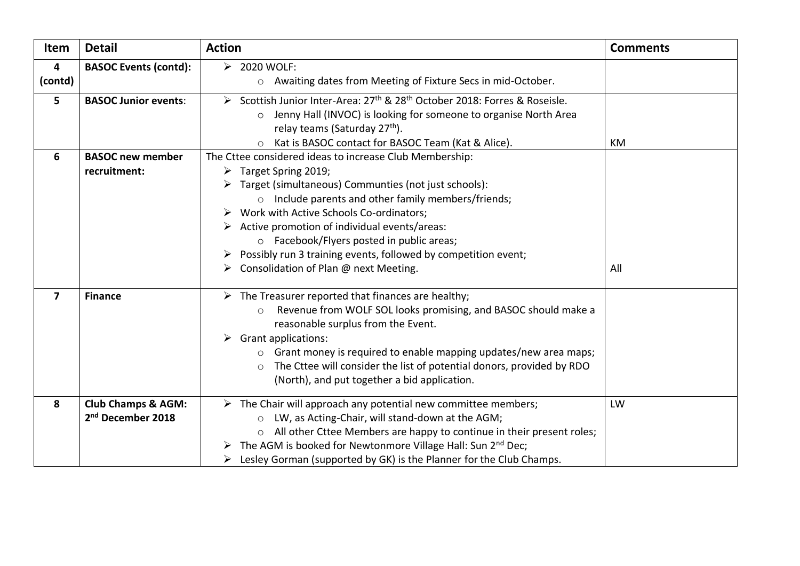| Item                    | <b>Detail</b>                                                  | <b>Action</b>                                                                                                                                                                                                                                                                                                                                                                                                                                      | <b>Comments</b> |
|-------------------------|----------------------------------------------------------------|----------------------------------------------------------------------------------------------------------------------------------------------------------------------------------------------------------------------------------------------------------------------------------------------------------------------------------------------------------------------------------------------------------------------------------------------------|-----------------|
| 4<br>(contd)            | <b>BASOC Events (contd):</b>                                   | $\triangleright$ 2020 WOLF:<br>o Awaiting dates from Meeting of Fixture Secs in mid-October.                                                                                                                                                                                                                                                                                                                                                       |                 |
| 5                       | <b>BASOC Junior events:</b>                                    | > Scottish Junior Inter-Area: 27 <sup>th</sup> & 28 <sup>th</sup> October 2018: Forres & Roseisle.<br>Jenny Hall (INVOC) is looking for someone to organise North Area<br>$\circ$<br>relay teams (Saturday 27 <sup>th</sup> ).<br>Kat is BASOC contact for BASOC Team (Kat & Alice).                                                                                                                                                               | КM              |
| 6                       | <b>BASOC new member</b><br>recruitment:                        | The Cttee considered ideas to increase Club Membership:<br>$\triangleright$ Target Spring 2019;<br>Target (simultaneous) Communties (not just schools):<br>Include parents and other family members/friends;<br>$\circ$<br>$\triangleright$ Work with Active Schools Co-ordinators;<br>Active promotion of individual events/areas:<br>o Facebook/Flyers posted in public areas;<br>Possibly run 3 training events, followed by competition event; |                 |
|                         |                                                                | Consolidation of Plan @ next Meeting.<br>➤                                                                                                                                                                                                                                                                                                                                                                                                         | All             |
| $\overline{\mathbf{z}}$ | <b>Finance</b>                                                 | $\triangleright$ The Treasurer reported that finances are healthy;<br>Revenue from WOLF SOL looks promising, and BASOC should make a<br>$\circ$<br>reasonable surplus from the Event.<br><b>Grant applications:</b><br>➤<br>o Grant money is required to enable mapping updates/new area maps;<br>The Cttee will consider the list of potential donors, provided by RDO<br>$\circ$<br>(North), and put together a bid application.                 |                 |
| 8                       | <b>Club Champs &amp; AGM:</b><br>2 <sup>nd</sup> December 2018 | $\triangleright$ The Chair will approach any potential new committee members;<br>LW, as Acting-Chair, will stand-down at the AGM;<br>$\circ$<br>o All other Cttee Members are happy to continue in their present roles;<br>The AGM is booked for Newtonmore Village Hall: Sun 2 <sup>nd</sup> Dec;<br>Lesley Gorman (supported by GK) is the Planner for the Club Champs.<br>➤                                                                     | LW              |